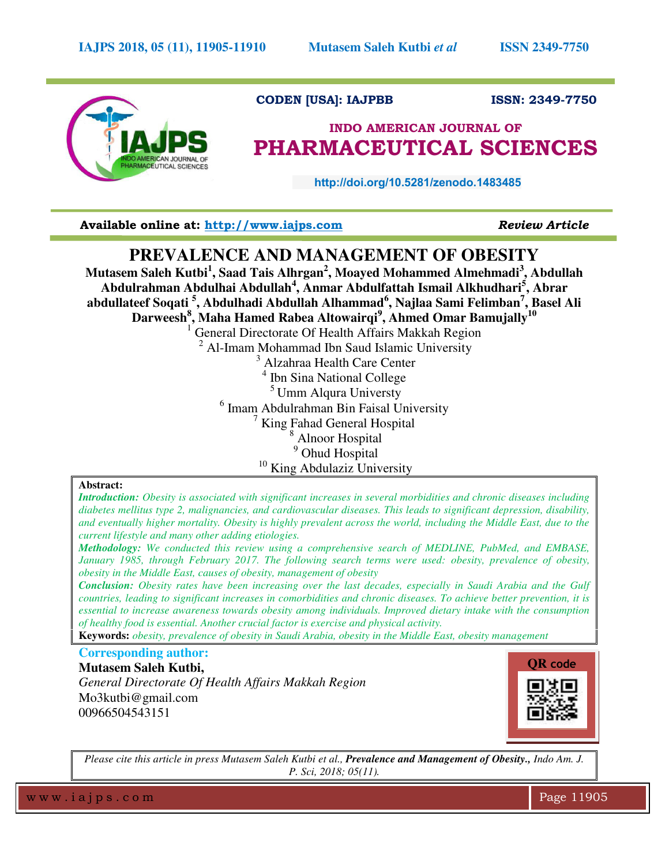

# **CODEN [USA]: IAJPBB ISSN: 2349-7750**

# **INDO AMERICAN JOURNAL OF PHARMACEUTICAL SCIENCES**

 **http://doi.org/10.5281/zenodo.1483485** 

**Available online at: [http://www.iajps.com](http://www.iajps.com/)** *Review Article*

# **PREVALENCE AND MANAGEMENT OF OBESITY**

**Mutasem Saleh Kutbi<sup>1</sup> , Saad Tais Alhrgan<sup>2</sup> , Moayed Mohammed Almehmadi<sup>3</sup> , Abdullah Abdulrahman Abdulhai Abdullah<sup>4</sup> , Anmar Abdulfattah Ismail Alkhudhari<sup>5</sup> , Abrar abdullateef Soqati <sup>5</sup> , Abdulhadi Abdullah Alhammad<sup>6</sup> , Najlaa Sami Felimban<sup>7</sup> , Basel Ali Darweesh<sup>8</sup> , Maha Hamed Rabea Altowairqi<sup>9</sup> , Ahmed Omar Bamujally<sup>10</sup>** <sup>1</sup> General Directorate Of Health Affairs Makkah Region <sup>2</sup> Al-Imam Mohammad Ibn Saud Islamic University

3 Alzahraa Health Care Center 4 Ibn Sina National College  $<sup>5</sup>$  Umm Alqura Universty</sup> 6 Imam Abdulrahman Bin Faisal University <sup>7</sup> King Fahad General Hospital 8 Alnoor Hospital 9 Ohud Hospital <sup>10</sup> King Abdulaziz University

# **Abstract:**

*Introduction: Obesity is associated with significant increases in several morbidities and chronic diseases including diabetes mellitus type 2, malignancies, and cardiovascular diseases. This leads to significant depression, disability, and eventually higher mortality. Obesity is highly prevalent across the world, including the Middle East, due to the current lifestyle and many other adding etiologies.* 

*Methodology: We conducted this review using a comprehensive search of MEDLINE, PubMed, and EMBASE, January 1985, through February 2017. The following search terms were used: obesity, prevalence of obesity, obesity in the Middle East, causes of obesity, management of obesity* 

*Conclusion: Obesity rates have been increasing over the last decades, especially in Saudi Arabia and the Gulf countries, leading to significant increases in comorbidities and chronic diseases. To achieve better prevention, it is essential to increase awareness towards obesity among individuals. Improved dietary intake with the consumption of healthy food is essential. Another crucial factor is exercise and physical activity.* 

**Keywords:** *obesity, prevalence of obesity in Saudi Arabia, obesity in the Middle East, obesity management* 

# **Corresponding author:**

**Mutasem Saleh Kutbi,**  *General Directorate Of Health Affairs Makkah Region*  Mo3kutbi@gmail.com 00966504543151



*Please cite this article in press Mutasem Saleh Kutbi et al., Prevalence and Management of Obesity., Indo Am. J. P. Sci, 2018; 05(11).*

w w w . i a j p s . c o m Page 11905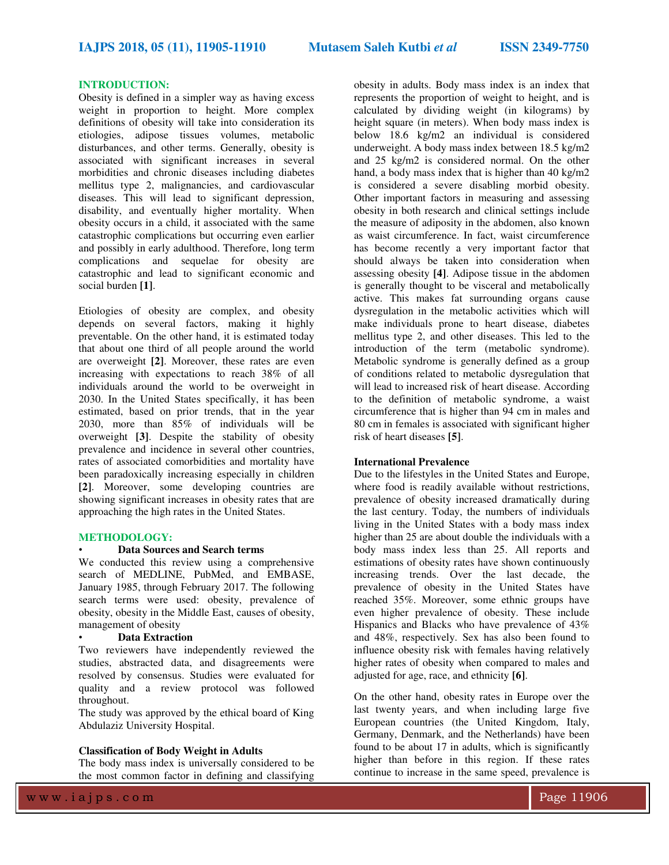# **INTRODUCTION:**

Obesity is defined in a simpler way as having excess weight in proportion to height. More complex definitions of obesity will take into consideration its etiologies, adipose tissues volumes, metabolic disturbances, and other terms. Generally, obesity is associated with significant increases in several morbidities and chronic diseases including diabetes mellitus type 2, malignancies, and cardiovascular diseases. This will lead to significant depression, disability, and eventually higher mortality. When obesity occurs in a child, it associated with the same catastrophic complications but occurring even earlier and possibly in early adulthood. Therefore, long term complications and sequelae for obesity are catastrophic and lead to significant economic and social burden **[1]**.

Etiologies of obesity are complex, and obesity depends on several factors, making it highly preventable. On the other hand, it is estimated today that about one third of all people around the world are overweight **[2]**. Moreover, these rates are even increasing with expectations to reach 38% of all individuals around the world to be overweight in 2030. In the United States specifically, it has been estimated, based on prior trends, that in the year 2030, more than 85% of individuals will be overweight **[3]**. Despite the stability of obesity prevalence and incidence in several other countries, rates of associated comorbidities and mortality have been paradoxically increasing especially in children **[2]**. Moreover, some developing countries are showing significant increases in obesity rates that are approaching the high rates in the United States.

# **METHODOLOGY:**

# • **Data Sources and Search terms**

We conducted this review using a comprehensive search of MEDLINE, PubMed, and EMBASE, January 1985, through February 2017. The following search terms were used: obesity, prevalence of obesity, obesity in the Middle East, causes of obesity, management of obesity

#### • **Data Extraction**

Two reviewers have independently reviewed the studies, abstracted data, and disagreements were resolved by consensus. Studies were evaluated for quality and a review protocol was followed throughout.

The study was approved by the ethical board of King Abdulaziz University Hospital.

## **Classification of Body Weight in Adults**

The body mass index is universally considered to be the most common factor in defining and classifying

obesity in adults. Body mass index is an index that represents the proportion of weight to height, and is calculated by dividing weight (in kilograms) by height square (in meters). When body mass index is below 18.6 kg/m2 an individual is considered underweight. A body mass index between 18.5 kg/m2 and 25 kg/m2 is considered normal. On the other hand, a body mass index that is higher than 40 kg/m2 is considered a severe disabling morbid obesity. Other important factors in measuring and assessing obesity in both research and clinical settings include the measure of adiposity in the abdomen, also known as waist circumference. In fact, waist circumference has become recently a very important factor that should always be taken into consideration when assessing obesity **[4]**. Adipose tissue in the abdomen is generally thought to be visceral and metabolically active. This makes fat surrounding organs cause dysregulation in the metabolic activities which will make individuals prone to heart disease, diabetes mellitus type 2, and other diseases. This led to the introduction of the term (metabolic syndrome). Metabolic syndrome is generally defined as a group of conditions related to metabolic dysregulation that will lead to increased risk of heart disease. According to the definition of metabolic syndrome, a waist circumference that is higher than 94 cm in males and 80 cm in females is associated with significant higher risk of heart diseases **[5]**.

# **International Prevalence**

Due to the lifestyles in the United States and Europe, where food is readily available without restrictions, prevalence of obesity increased dramatically during the last century. Today, the numbers of individuals living in the United States with a body mass index higher than 25 are about double the individuals with a body mass index less than 25. All reports and estimations of obesity rates have shown continuously increasing trends. Over the last decade, the prevalence of obesity in the United States have reached 35%. Moreover, some ethnic groups have even higher prevalence of obesity. These include Hispanics and Blacks who have prevalence of 43% and 48%, respectively. Sex has also been found to influence obesity risk with females having relatively higher rates of obesity when compared to males and adjusted for age, race, and ethnicity **[6]**.

On the other hand, obesity rates in Europe over the last twenty years, and when including large five European countries (the United Kingdom, Italy, Germany, Denmark, and the Netherlands) have been found to be about 17 in adults, which is significantly higher than before in this region. If these rates continue to increase in the same speed, prevalence is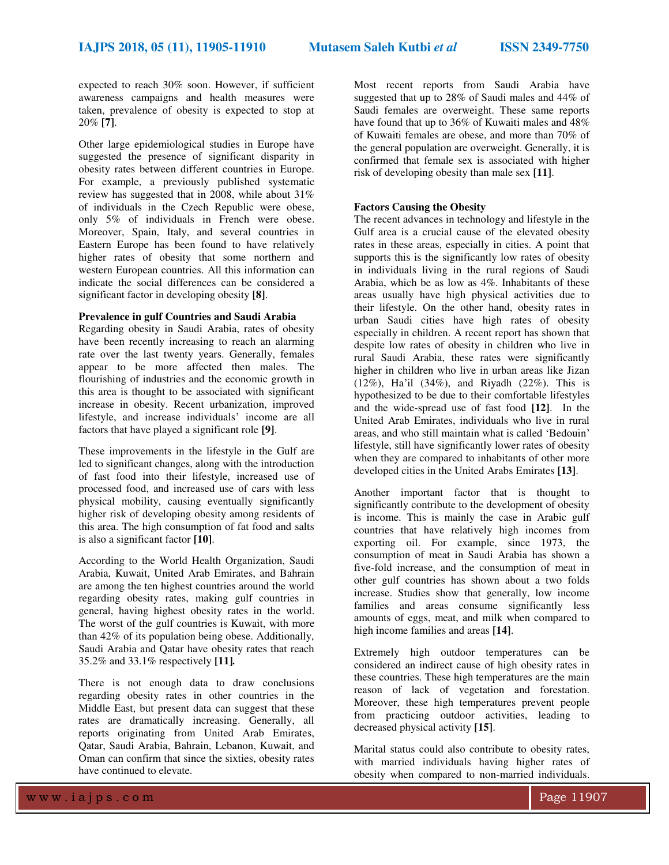expected to reach 30% soon. However, if sufficient awareness campaigns and health measures were taken, prevalence of obesity is expected to stop at 20% **[7]**.

Other large epidemiological studies in Europe have suggested the presence of significant disparity in obesity rates between different countries in Europe. For example, a previously published systematic review has suggested that in 2008, while about 31% of individuals in the Czech Republic were obese, only 5% of individuals in French were obese. Moreover, Spain, Italy, and several countries in Eastern Europe has been found to have relatively higher rates of obesity that some northern and western European countries. All this information can indicate the social differences can be considered a significant factor in developing obesity **[8]**.

#### **Prevalence in gulf Countries and Saudi Arabia**

Regarding obesity in Saudi Arabia, rates of obesity have been recently increasing to reach an alarming rate over the last twenty years. Generally, females appear to be more affected then males. The flourishing of industries and the economic growth in this area is thought to be associated with significant increase in obesity. Recent urbanization, improved lifestyle, and increase individuals' income are all factors that have played a significant role **[9]**.

These improvements in the lifestyle in the Gulf are led to significant changes, along with the introduction of fast food into their lifestyle, increased use of processed food, and increased use of cars with less physical mobility, causing eventually significantly higher risk of developing obesity among residents of this area. The high consumption of fat food and salts is also a significant factor **[10]**.

According to the World Health Organization, Saudi Arabia, Kuwait, United Arab Emirates, and Bahrain are among the ten highest countries around the world regarding obesity rates, making gulf countries in general, having highest obesity rates in the world. The worst of the gulf countries is Kuwait, with more than 42% of its population being obese. Additionally, Saudi Arabia and Qatar have obesity rates that reach 35.2% and 33.1% respectively **[11]***.* 

There is not enough data to draw conclusions regarding obesity rates in other countries in the Middle East, but present data can suggest that these rates are dramatically increasing. Generally, all reports originating from United Arab Emirates, Qatar, Saudi Arabia, Bahrain, Lebanon, Kuwait, and Oman can confirm that since the sixties, obesity rates have continued to elevate.

Most recent reports from Saudi Arabia have suggested that up to 28% of Saudi males and 44% of Saudi females are overweight. These same reports have found that up to 36% of Kuwaiti males and 48% of Kuwaiti females are obese, and more than 70% of the general population are overweight. Generally, it is confirmed that female sex is associated with higher risk of developing obesity than male sex **[11]**.

#### **Factors Causing the Obesity**

The recent advances in technology and lifestyle in the Gulf area is a crucial cause of the elevated obesity rates in these areas, especially in cities. A point that supports this is the significantly low rates of obesity in individuals living in the rural regions of Saudi Arabia, which be as low as 4%. Inhabitants of these areas usually have high physical activities due to their lifestyle. On the other hand, obesity rates in urban Saudi cities have high rates of obesity especially in children. A recent report has shown that despite low rates of obesity in children who live in rural Saudi Arabia, these rates were significantly higher in children who live in urban areas like Jizan (12%), Ha'il (34%), and Riyadh (22%). This is hypothesized to be due to their comfortable lifestyles and the wide-spread use of fast food **[12]**. In the United Arab Emirates, individuals who live in rural areas, and who still maintain what is called 'Bedouin' lifestyle, still have significantly lower rates of obesity when they are compared to inhabitants of other more developed cities in the United Arabs Emirates **[13]**.

Another important factor that is thought to significantly contribute to the development of obesity is income. This is mainly the case in Arabic gulf countries that have relatively high incomes from exporting oil. For example, since 1973, the consumption of meat in Saudi Arabia has shown a five-fold increase, and the consumption of meat in other gulf countries has shown about a two folds increase. Studies show that generally, low income families and areas consume significantly less amounts of eggs, meat, and milk when compared to high income families and areas **[14]**.

Extremely high outdoor temperatures can be considered an indirect cause of high obesity rates in these countries. These high temperatures are the main reason of lack of vegetation and forestation. Moreover, these high temperatures prevent people from practicing outdoor activities, leading to decreased physical activity **[15]**.

Marital status could also contribute to obesity rates, with married individuals having higher rates of obesity when compared to non-married individuals.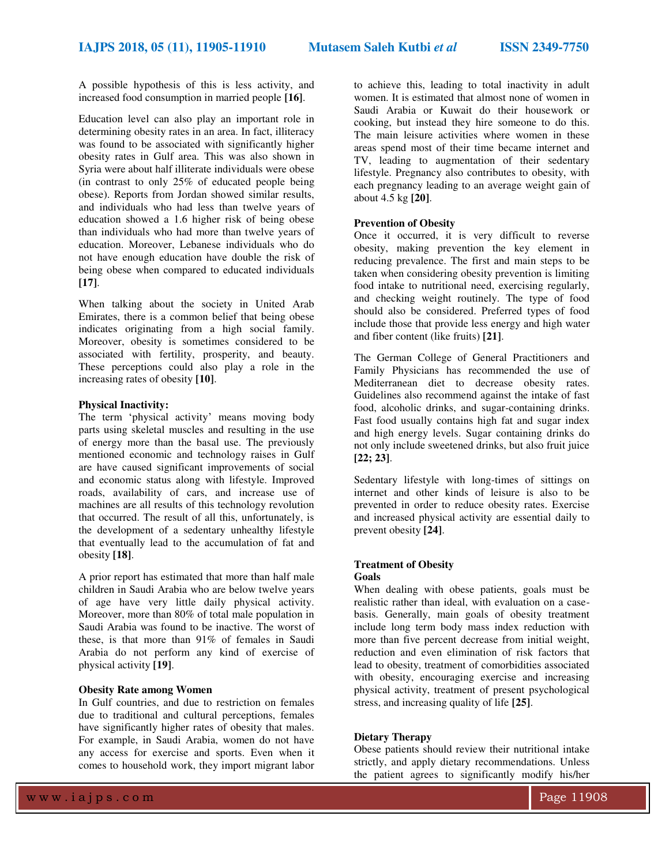A possible hypothesis of this is less activity, and increased food consumption in married people **[16]**.

Education level can also play an important role in determining obesity rates in an area. In fact, illiteracy was found to be associated with significantly higher obesity rates in Gulf area. This was also shown in Syria were about half illiterate individuals were obese (in contrast to only 25% of educated people being obese). Reports from Jordan showed similar results, and individuals who had less than twelve years of education showed a 1.6 higher risk of being obese than individuals who had more than twelve years of education. Moreover, Lebanese individuals who do not have enough education have double the risk of being obese when compared to educated individuals **[17]**.

When talking about the society in United Arab Emirates, there is a common belief that being obese indicates originating from a high social family. Moreover, obesity is sometimes considered to be associated with fertility, prosperity, and beauty. These perceptions could also play a role in the increasing rates of obesity **[10]**.

# **Physical Inactivity:**

The term 'physical activity' means moving body parts using skeletal muscles and resulting in the use of energy more than the basal use. The previously mentioned economic and technology raises in Gulf are have caused significant improvements of social and economic status along with lifestyle. Improved roads, availability of cars, and increase use of machines are all results of this technology revolution that occurred. The result of all this, unfortunately, is the development of a sedentary unhealthy lifestyle that eventually lead to the accumulation of fat and obesity **[18]**.

A prior report has estimated that more than half male children in Saudi Arabia who are below twelve years of age have very little daily physical activity. Moreover, more than 80% of total male population in Saudi Arabia was found to be inactive. The worst of these, is that more than 91% of females in Saudi Arabia do not perform any kind of exercise of physical activity **[19]**.

#### **Obesity Rate among Women**

In Gulf countries, and due to restriction on females due to traditional and cultural perceptions, females have significantly higher rates of obesity that males. For example, in Saudi Arabia, women do not have any access for exercise and sports. Even when it comes to household work, they import migrant labor to achieve this, leading to total inactivity in adult women. It is estimated that almost none of women in Saudi Arabia or Kuwait do their housework or cooking, but instead they hire someone to do this. The main leisure activities where women in these areas spend most of their time became internet and TV, leading to augmentation of their sedentary lifestyle. Pregnancy also contributes to obesity, with each pregnancy leading to an average weight gain of about 4.5 kg **[20]**.

## **Prevention of Obesity**

Once it occurred, it is very difficult to reverse obesity, making prevention the key element in reducing prevalence. The first and main steps to be taken when considering obesity prevention is limiting food intake to nutritional need, exercising regularly, and checking weight routinely. The type of food should also be considered. Preferred types of food include those that provide less energy and high water and fiber content (like fruits) **[21]**.

The German College of General Practitioners and Family Physicians has recommended the use of Mediterranean diet to decrease obesity rates. Guidelines also recommend against the intake of fast food, alcoholic drinks, and sugar-containing drinks. Fast food usually contains high fat and sugar index and high energy levels. Sugar containing drinks do not only include sweetened drinks, but also fruit juice **[22; 23]**.

Sedentary lifestyle with long-times of sittings on internet and other kinds of leisure is also to be prevented in order to reduce obesity rates. Exercise and increased physical activity are essential daily to prevent obesity **[24]**.

#### **Treatment of Obesity Goals**

When dealing with obese patients, goals must be realistic rather than ideal, with evaluation on a casebasis. Generally, main goals of obesity treatment include long term body mass index reduction with more than five percent decrease from initial weight, reduction and even elimination of risk factors that lead to obesity, treatment of comorbidities associated with obesity, encouraging exercise and increasing physical activity, treatment of present psychological stress, and increasing quality of life **[25]**.

#### **Dietary Therapy**

Obese patients should review their nutritional intake strictly, and apply dietary recommendations. Unless the patient agrees to significantly modify his/her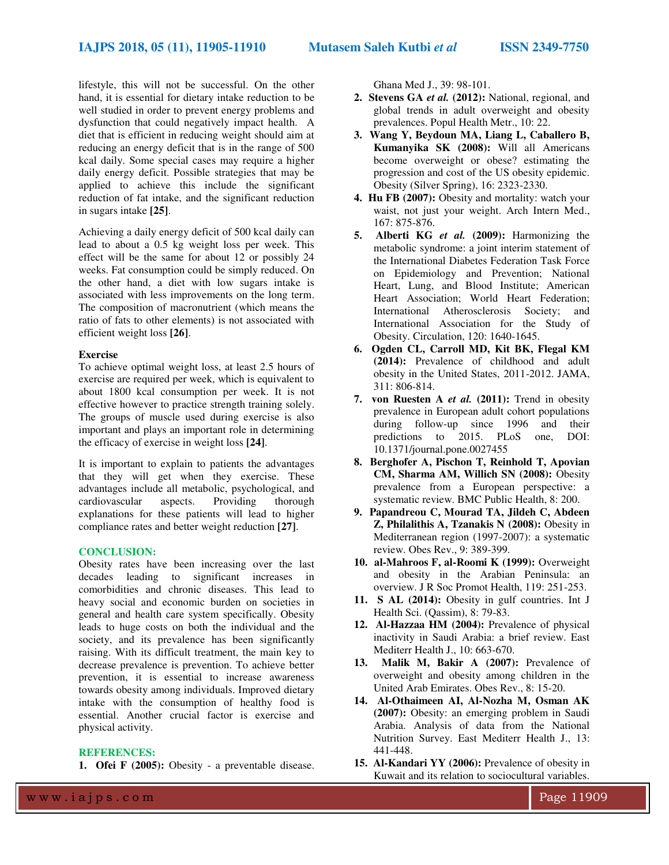lifestyle, this will not be successful. On the other hand, it is essential for dietary intake reduction to be well studied in order to prevent energy problems and dysfunction that could negatively impact health. A diet that is efficient in reducing weight should aim at reducing an energy deficit that is in the range of 500 kcal daily. Some special cases may require a higher daily energy deficit. Possible strategies that may be applied to achieve this include the significant reduction of fat intake, and the significant reduction in sugars intake **[25]**.

Achieving a daily energy deficit of 500 kcal daily can lead to about a 0.5 kg weight loss per week. This effect will be the same for about 12 or possibly 24 weeks. Fat consumption could be simply reduced. On the other hand, a diet with low sugars intake is associated with less improvements on the long term. The composition of macronutrient (which means the ratio of fats to other elements) is not associated with efficient weight loss **[26]**.

#### **Exercise**

To achieve optimal weight loss, at least 2.5 hours of exercise are required per week, which is equivalent to about 1800 kcal consumption per week. It is not effective however to practice strength training solely. The groups of muscle used during exercise is also important and plays an important role in determining the efficacy of exercise in weight loss **[24]**.

It is important to explain to patients the advantages that they will get when they exercise. These advantages include all metabolic, psychological, and cardiovascular aspects. Providing thorough explanations for these patients will lead to higher compliance rates and better weight reduction **[27]**.

# **CONCLUSION:**

Obesity rates have been increasing over the last decades leading to significant increases in comorbidities and chronic diseases. This lead to heavy social and economic burden on societies in general and health care system specifically. Obesity leads to huge costs on both the individual and the society, and its prevalence has been significantly raising. With its difficult treatment, the main key to decrease prevalence is prevention. To achieve better prevention, it is essential to increase awareness towards obesity among individuals. Improved dietary intake with the consumption of healthy food is essential. Another crucial factor is exercise and physical activity.

#### **REFERENCES:**

**1. Ofei F (2005):** Obesity - a preventable disease.

Ghana Med J., 39: 98-101.

- **2. Stevens GA** *et al.* **(2012):** National, regional, and global trends in adult overweight and obesity prevalences. Popul Health Metr., 10: 22.
- **3. Wang Y, Beydoun MA, Liang L, Caballero B, Kumanyika SK (2008):** Will all Americans become overweight or obese? estimating the progression and cost of the US obesity epidemic. Obesity (Silver Spring), 16: 2323-2330.
- **4. Hu FB (2007):** Obesity and mortality: watch your waist, not just your weight. Arch Intern Med., 167: 875-876.
- **5. Alberti KG** *et al.* **(2009):** Harmonizing the metabolic syndrome: a joint interim statement of the International Diabetes Federation Task Force on Epidemiology and Prevention; National Heart, Lung, and Blood Institute; American Heart Association; World Heart Federation; International Atherosclerosis Society; and International Association for the Study of Obesity. Circulation, 120: 1640-1645.
- **6. Ogden CL, Carroll MD, Kit BK, Flegal KM (2014):** Prevalence of childhood and adult obesity in the United States, 2011-2012. JAMA, 311: 806-814.
- **7. von Ruesten A** *et al.* **(2011):** Trend in obesity prevalence in European adult cohort populations during follow-up since 1996 and their predictions to 2015. PLoS one, DOI: 10.1371/journal.pone.0027455
- **8. Berghofer A, Pischon T, Reinhold T, Apovian CM, Sharma AM, Willich SN (2008):** Obesity prevalence from a European perspective: a systematic review. BMC Public Health, 8: 200.
- **9. Papandreou C, Mourad TA, Jildeh C, Abdeen Z, Philalithis A, Tzanakis N (2008):** Obesity in Mediterranean region (1997-2007): a systematic review. Obes Rev., 9: 389-399.
- **10. al-Mahroos F, al-Roomi K (1999):** Overweight and obesity in the Arabian Peninsula: an overview. J R Soc Promot Health, 119: 251-253.
- **11. S AL (2014):** Obesity in gulf countries. Int J Health Sci. (Qassim), 8: 79-83.
- **12. Al-Hazzaa HM (2004):** Prevalence of physical inactivity in Saudi Arabia: a brief review. East Mediterr Health J., 10: 663-670.
- **13. Malik M, Bakir A (2007):** Prevalence of overweight and obesity among children in the United Arab Emirates. Obes Rev., 8: 15-20.
- **14. Al-Othaimeen AI, Al-Nozha M, Osman AK (2007):** Obesity: an emerging problem in Saudi Arabia. Analysis of data from the National Nutrition Survey. East Mediterr Health J., 13: 441-448.
- **15. Al-Kandari YY (2006):** Prevalence of obesity in Kuwait and its relation to sociocultural variables.